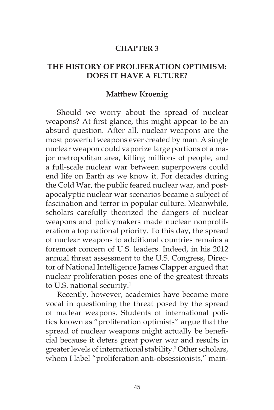#### **CHAPTER 3**

#### **THE HISTORY OF PROLIFERATION OPTIMISM: DOES IT HAVE A FUTURE?**

#### **Matthew Kroenig**

Should we worry about the spread of nuclear weapons? At first glance, this might appear to be an absurd question. After all, nuclear weapons are the most powerful weapons ever created by man. A single nuclear weapon could vaporize large portions of a major metropolitan area, killing millions of people, and a full-scale nuclear war between superpowers could end life on Earth as we know it. For decades during the Cold War, the public feared nuclear war, and postapocalyptic nuclear war scenarios became a subject of fascination and terror in popular culture. Meanwhile, scholars carefully theorized the dangers of nuclear weapons and policymakers made nuclear nonproliferation a top national priority. To this day, the spread of nuclear weapons to additional countries remains a foremost concern of U.S. leaders. Indeed, in his 2012 annual threat assessment to the U.S. Congress, Director of National Intelligence James Clapper argued that nuclear proliferation poses one of the greatest threats to U.S. national security.<sup>1</sup>

Recently, however, academics have become more vocal in questioning the threat posed by the spread of nuclear weapons. Students of international politics known as "proliferation optimists" argue that the spread of nuclear weapons might actually be beneficial because it deters great power war and results in greater levels of international stability.2 Other scholars, whom I label "proliferation anti-obsessionists," main-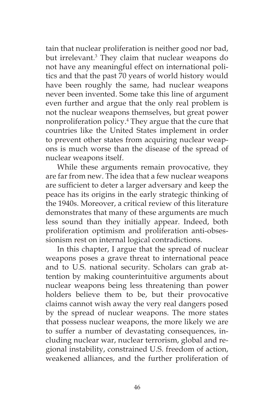tain that nuclear proliferation is neither good nor bad, but irrelevant.<sup>3</sup> They claim that nuclear weapons do not have any meaningful effect on international politics and that the past 70 years of world history would have been roughly the same, had nuclear weapons never been invented. Some take this line of argument even further and argue that the only real problem is not the nuclear weapons themselves, but great power nonproliferation policy.4 They argue that the cure that countries like the United States implement in order to prevent other states from acquiring nuclear weapons is much worse than the disease of the spread of nuclear weapons itself.

While these arguments remain provocative, they are far from new. The idea that a few nuclear weapons are sufficient to deter a larger adversary and keep the peace has its origins in the early strategic thinking of the 1940s. Moreover, a critical review of this literature demonstrates that many of these arguments are much less sound than they initially appear. Indeed, both proliferation optimism and proliferation anti-obsessionism rest on internal logical contradictions.

In this chapter, I argue that the spread of nuclear weapons poses a grave threat to international peace and to U.S. national security. Scholars can grab attention by making counterintuitive arguments about nuclear weapons being less threatening than power holders believe them to be, but their provocative claims cannot wish away the very real dangers posed by the spread of nuclear weapons. The more states that possess nuclear weapons, the more likely we are to suffer a number of devastating consequences, including nuclear war, nuclear terrorism, global and regional instability, constrained U.S. freedom of action, weakened alliances, and the further proliferation of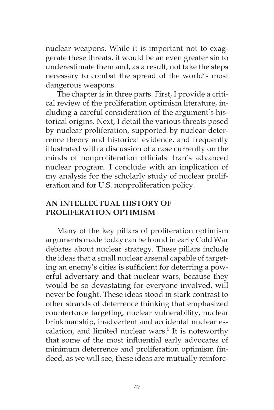nuclear weapons. While it is important not to exaggerate these threats, it would be an even greater sin to underestimate them and, as a result, not take the steps necessary to combat the spread of the world's most dangerous weapons.

The chapter is in three parts. First, I provide a critical review of the proliferation optimism literature, including a careful consideration of the argument's historical origins. Next, I detail the various threats posed by nuclear proliferation, supported by nuclear deterrence theory and historical evidence, and frequently illustrated with a discussion of a case currently on the minds of nonproliferation officials: Iran's advanced nuclear program. I conclude with an implication of my analysis for the scholarly study of nuclear proliferation and for U.S. nonproliferation policy.

# **AN INTELLECTUAL HISTORY OF PROLIFERATION OPTIMISM**

Many of the key pillars of proliferation optimism arguments made today can be found in early Cold War debates about nuclear strategy. These pillars include the ideas that a small nuclear arsenal capable of targeting an enemy's cities is sufficient for deterring a powerful adversary and that nuclear wars, because they would be so devastating for everyone involved, will never be fought. These ideas stood in stark contrast to other strands of deterrence thinking that emphasized counterforce targeting, nuclear vulnerability, nuclear brinkmanship, inadvertent and accidental nuclear escalation, and limited nuclear wars.<sup>5</sup> It is noteworthy that some of the most influential early advocates of minimum deterrence and proliferation optimism (indeed, as we will see, these ideas are mutually reinforc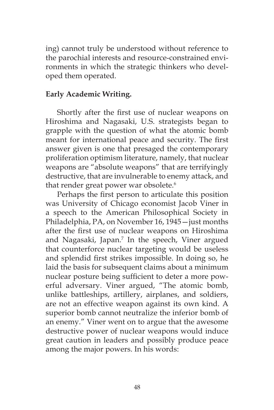ing) cannot truly be understood without reference to the parochial interests and resource-constrained environments in which the strategic thinkers who developed them operated.

## **Early Academic Writing.**

Shortly after the first use of nuclear weapons on Hiroshima and Nagasaki, U.S. strategists began to grapple with the question of what the atomic bomb meant for international peace and security. The first answer given is one that presaged the contemporary proliferation optimism literature, namely, that nuclear weapons are "absolute weapons" that are terrifyingly destructive, that are invulnerable to enemy attack, and that render great power war obsolete.<sup>6</sup>

Perhaps the first person to articulate this position was University of Chicago economist Jacob Viner in a speech to the American Philosophical Society in Philadelphia, PA, on November 16, 1945—just months after the first use of nuclear weapons on Hiroshima and Nagasaki, Japan.<sup>7</sup> In the speech, Viner argued that counterforce nuclear targeting would be useless and splendid first strikes impossible. In doing so, he laid the basis for subsequent claims about a minimum nuclear posture being sufficient to deter a more powerful adversary. Viner argued, "The atomic bomb, unlike battleships, artillery, airplanes, and soldiers, are not an effective weapon against its own kind. A superior bomb cannot neutralize the inferior bomb of an enemy." Viner went on to argue that the awesome destructive power of nuclear weapons would induce great caution in leaders and possibly produce peace among the major powers. In his words: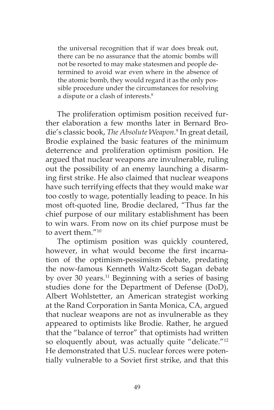the universal recognition that if war does break out, there can be no assurance that the atomic bombs will not be resorted to may make statesmen and people determined to avoid war even where in the absence of the atomic bomb, they would regard it as the only possible procedure under the circumstances for resolving a dispute or a clash of interests.8

The proliferation optimism position received further elaboration a few months later in Bernard Brodie's classic book, *The Absolute Weapon*. 9 In great detail, Brodie explained the basic features of the minimum deterrence and proliferation optimism position. He argued that nuclear weapons are invulnerable, ruling out the possibility of an enemy launching a disarming first strike. He also claimed that nuclear weapons have such terrifying effects that they would make war too costly to wage, potentially leading to peace. In his most oft-quoted line, Brodie declared, "Thus far the chief purpose of our military establishment has been to win wars. From now on its chief purpose must be to avert them."10

The optimism position was quickly countered, however, in what would become the first incarnation of the optimism-pessimism debate, predating the now-famous Kenneth Waltz-Scott Sagan debate by over 30 years.<sup>11</sup> Beginning with a series of basing studies done for the Department of Defense (DoD), Albert Wohlstetter, an American strategist working at the Rand Corporation in Santa Monica, CA, argued that nuclear weapons are not as invulnerable as they appeared to optimists like Brodie. Rather, he argued that the "balance of terror" that optimists had written so eloquently about, was actually quite "delicate."<sup>12</sup> He demonstrated that U.S. nuclear forces were potentially vulnerable to a Soviet first strike, and that this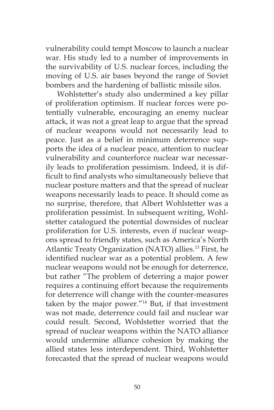vulnerability could tempt Moscow to launch a nuclear war. His study led to a number of improvements in the survivability of U.S. nuclear forces, including the moving of U.S. air bases beyond the range of Soviet bombers and the hardening of ballistic missile silos.

Wohlstetter's study also undermined a key pillar of proliferation optimism. If nuclear forces were potentially vulnerable, encouraging an enemy nuclear attack, it was not a great leap to argue that the spread of nuclear weapons would not necessarily lead to peace. Just as a belief in minimum deterrence supports the idea of a nuclear peace, attention to nuclear vulnerability and counterforce nuclear war necessarily leads to proliferation pessimism. Indeed, it is difficult to find analysts who simultaneously believe that nuclear posture matters and that the spread of nuclear weapons necessarily leads to peace. It should come as no surprise, therefore, that Albert Wohlstetter was a proliferation pessimist. In subsequent writing, Wohlstetter catalogued the potential downsides of nuclear proliferation for U.S. interests, even if nuclear weapons spread to friendly states, such as America's North Atlantic Treaty Organization (NATO) allies.<sup>13</sup> First, he identified nuclear war as a potential problem. A few nuclear weapons would not be enough for deterrence, but rather "The problem of deterring a major power requires a continuing effort because the requirements for deterrence will change with the counter-measures taken by the major power."14 But, if that investment was not made, deterrence could fail and nuclear war could result. Second, Wohlstetter worried that the spread of nuclear weapons within the NATO alliance would undermine alliance cohesion by making the allied states less interdependent. Third, Wohlstetter forecasted that the spread of nuclear weapons would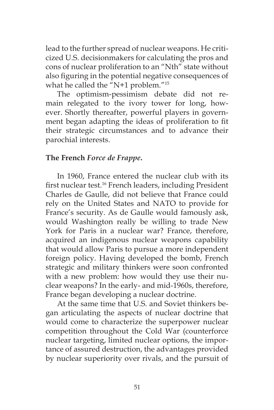lead to the further spread of nuclear weapons. He criticized U.S. decisionmakers for calculating the pros and cons of nuclear proliferation to an "Nth" state without also figuring in the potential negative consequences of what he called the "N+1 problem."15

The optimism-pessimism debate did not remain relegated to the ivory tower for long, however. Shortly thereafter, powerful players in government began adapting the ideas of proliferation to fit their strategic circumstances and to advance their parochial interests.

## **The French** *Force de Frappe***.**

In 1960, France entered the nuclear club with its first nuclear test.<sup>16</sup> French leaders, including President Charles de Gaulle, did not believe that France could rely on the United States and NATO to provide for France's security. As de Gaulle would famously ask, would Washington really be willing to trade New York for Paris in a nuclear war? France, therefore, acquired an indigenous nuclear weapons capability that would allow Paris to pursue a more independent foreign policy. Having developed the bomb, French strategic and military thinkers were soon confronted with a new problem: how would they use their nuclear weapons? In the early- and mid-1960s, therefore, France began developing a nuclear doctrine.

At the same time that U.S. and Soviet thinkers began articulating the aspects of nuclear doctrine that would come to characterize the superpower nuclear competition throughout the Cold War (counterforce nuclear targeting, limited nuclear options, the importance of assured destruction, the advantages provided by nuclear superiority over rivals, and the pursuit of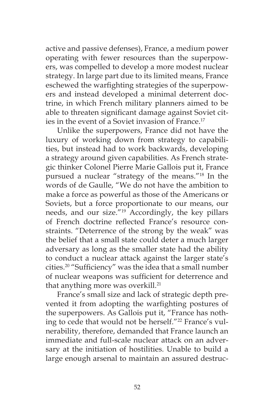active and passive defenses), France, a medium power operating with fewer resources than the superpowers, was compelled to develop a more modest nuclear strategy. In large part due to its limited means, France eschewed the warfighting strategies of the superpowers and instead developed a minimal deterrent doctrine, in which French military planners aimed to be able to threaten significant damage against Soviet cities in the event of a Soviet invasion of France.<sup>17</sup>

Unlike the superpowers, France did not have the luxury of working down from strategy to capabilities, but instead had to work backwards, developing a strategy around given capabilities. As French strategic thinker Colonel Pierre Marie Gallois put it, France pursued a nuclear "strategy of the means."18 In the words of de Gaulle, "We do not have the ambition to make a force as powerful as those of the Americans or Soviets, but a force proportionate to our means, our needs, and our size."19 Accordingly, the key pillars of French doctrine reflected France's resource constraints. "Deterrence of the strong by the weak" was the belief that a small state could deter a much larger adversary as long as the smaller state had the ability to conduct a nuclear attack against the larger state's cities.20 "Sufficiency" was the idea that a small number of nuclear weapons was sufficient for deterrence and that anything more was overkill.<sup>21</sup>

France's small size and lack of strategic depth prevented it from adopting the warfighting postures of the superpowers. As Gallois put it, "France has nothing to cede that would not be herself."<sup>22</sup> France's vulnerability, therefore, demanded that France launch an immediate and full-scale nuclear attack on an adversary at the initiation of hostilities. Unable to build a large enough arsenal to maintain an assured destruc-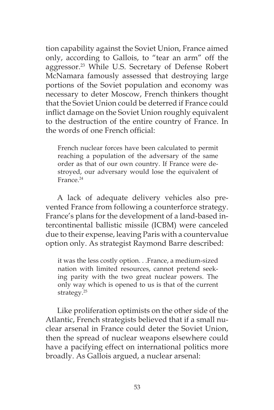tion capability against the Soviet Union, France aimed only, according to Gallois, to "tear an arm" off the aggressor.<sup>23</sup> While U.S. Secretary of Defense Robert McNamara famously assessed that destroying large portions of the Soviet population and economy was necessary to deter Moscow, French thinkers thought that the Soviet Union could be deterred if France could inflict damage on the Soviet Union roughly equivalent to the destruction of the entire country of France. In the words of one French official:

French nuclear forces have been calculated to permit reaching a population of the adversary of the same order as that of our own country. If France were destroyed, our adversary would lose the equivalent of France.<sup>24</sup>

A lack of adequate delivery vehicles also prevented France from following a counterforce strategy. France's plans for the development of a land-based intercontinental ballistic missile (ICBM) were canceled due to their expense, leaving Paris with a countervalue option only. As strategist Raymond Barre described:

it was the less costly option. . .France, a medium-sized nation with limited resources, cannot pretend seeking parity with the two great nuclear powers. The only way which is opened to us is that of the current strategy.25

Like proliferation optimists on the other side of the Atlantic, French strategists believed that if a small nuclear arsenal in France could deter the Soviet Union, then the spread of nuclear weapons elsewhere could have a pacifying effect on international politics more broadly. As Gallois argued, a nuclear arsenal: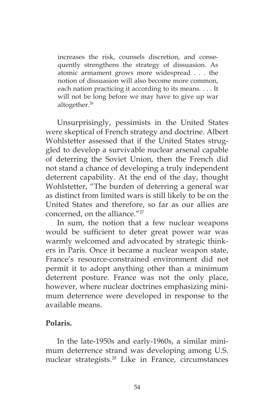increases the risk, counsels discretion, and consequently strengthens the strategy of dissuasion. As atomic armament grows more widespread . . . the notion of dissuasion will also become more common, each nation practicing it according to its means. . . . It will not be long before we may have to give up war altogether.26

Unsurprisingly, pessimists in the United States were skeptical of French strategy and doctrine. Albert Wohlstetter assessed that if the United States struggled to develop a survivable nuclear arsenal capable of deterring the Soviet Union, then the French did not stand a chance of developing a truly independent deterrent capability. At the end of the day, thought Wohlstetter, "The burden of deterring a general war as distinct from limited wars is still likely to be on the United States and therefore, so far as our allies are concerned, on the alliance."<sup>27</sup>

In sum, the notion that a few nuclear weapons would be sufficient to deter great power war was warmly welcomed and advocated by strategic thinkers in Paris. Once it became a nuclear weapon state, France's resource-constrained environment did not permit it to adopt anything other than a minimum deterrent posture. France was not the only place, however, where nuclear doctrines emphasizing minimum deterrence were developed in response to the available means.

## **Polaris.**

In the late-1950s and early-1960s, a similar minimum deterrence strand was developing among U.S. nuclear strategists.<sup>28</sup> Like in France, circumstances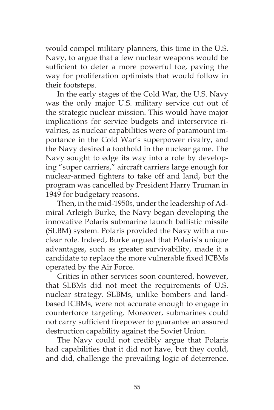would compel military planners, this time in the U.S. Navy, to argue that a few nuclear weapons would be sufficient to deter a more powerful foe, paving the way for proliferation optimists that would follow in their footsteps.

In the early stages of the Cold War, the U.S. Navy was the only major U.S. military service cut out of the strategic nuclear mission. This would have major implications for service budgets and interservice rivalries, as nuclear capabilities were of paramount importance in the Cold War's superpower rivalry, and the Navy desired a foothold in the nuclear game. The Navy sought to edge its way into a role by developing "super carriers," aircraft carriers large enough for nuclear-armed fighters to take off and land, but the program was cancelled by President Harry Truman in 1949 for budgetary reasons.

Then, in the mid-1950s, under the leadership of Admiral Arleigh Burke, the Navy began developing the innovative Polaris submarine launch ballistic missile (SLBM) system. Polaris provided the Navy with a nuclear role. Indeed, Burke argued that Polaris's unique advantages, such as greater survivability, made it a candidate to replace the more vulnerable fixed ICBMs operated by the Air Force.

Critics in other services soon countered, however, that SLBMs did not meet the requirements of U.S. nuclear strategy. SLBMs, unlike bombers and landbased ICBMs, were not accurate enough to engage in counterforce targeting. Moreover, submarines could not carry sufficient firepower to guarantee an assured destruction capability against the Soviet Union.

The Navy could not credibly argue that Polaris had capabilities that it did not have, but they could, and did, challenge the prevailing logic of deterrence.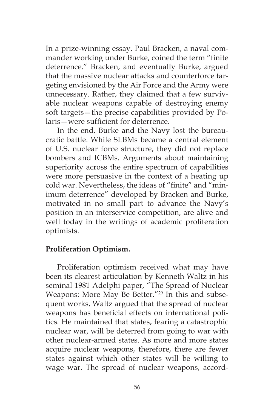In a prize-winning essay, Paul Bracken, a naval commander working under Burke, coined the term "finite deterrence." Bracken, and eventually Burke, argued that the massive nuclear attacks and counterforce targeting envisioned by the Air Force and the Army were unnecessary. Rather, they claimed that a few survivable nuclear weapons capable of destroying enemy soft targets—the precise capabilities provided by Polaris—were sufficient for deterrence.

In the end, Burke and the Navy lost the bureaucratic battle. While SLBMs became a central element of U.S. nuclear force structure, they did not replace bombers and ICBMs. Arguments about maintaining superiority across the entire spectrum of capabilities were more persuasive in the context of a heating up cold war. Nevertheless, the ideas of "finite" and "minimum deterrence" developed by Bracken and Burke, motivated in no small part to advance the Navy's position in an interservice competition, are alive and well today in the writings of academic proliferation optimists.

# **Proliferation Optimism.**

Proliferation optimism received what may have been its clearest articulation by Kenneth Waltz in his seminal 1981 Adelphi paper, "The Spread of Nuclear Weapons: More May Be Better."29 In this and subsequent works, Waltz argued that the spread of nuclear weapons has beneficial effects on international politics. He maintained that states, fearing a catastrophic nuclear war, will be deterred from going to war with other nuclear-armed states. As more and more states acquire nuclear weapons, therefore, there are fewer states against which other states will be willing to wage war. The spread of nuclear weapons, accord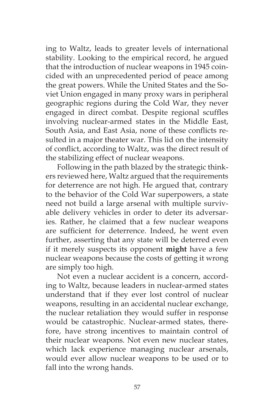ing to Waltz, leads to greater levels of international stability. Looking to the empirical record, he argued that the introduction of nuclear weapons in 1945 coincided with an unprecedented period of peace among the great powers. While the United States and the Soviet Union engaged in many proxy wars in peripheral geographic regions during the Cold War, they never engaged in direct combat. Despite regional scuffles involving nuclear-armed states in the Middle East, South Asia, and East Asia, none of these conflicts resulted in a major theater war. This lid on the intensity of conflict, according to Waltz, was the direct result of the stabilizing effect of nuclear weapons.

Following in the path blazed by the strategic thinkers reviewed here, Waltz argued that the requirements for deterrence are not high. He argued that, contrary to the behavior of the Cold War superpowers, a state need not build a large arsenal with multiple survivable delivery vehicles in order to deter its adversaries. Rather, he claimed that a few nuclear weapons are sufficient for deterrence. Indeed, he went even further, asserting that any state will be deterred even if it merely suspects its opponent **might** have a few nuclear weapons because the costs of getting it wrong are simply too high.

Not even a nuclear accident is a concern, according to Waltz, because leaders in nuclear-armed states understand that if they ever lost control of nuclear weapons, resulting in an accidental nuclear exchange, the nuclear retaliation they would suffer in response would be catastrophic. Nuclear-armed states, therefore, have strong incentives to maintain control of their nuclear weapons. Not even new nuclear states, which lack experience managing nuclear arsenals, would ever allow nuclear weapons to be used or to fall into the wrong hands.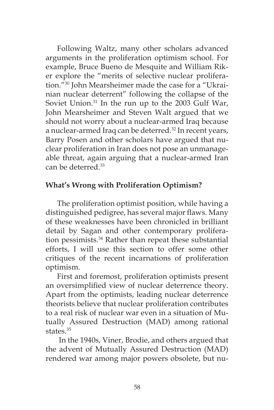Following Waltz, many other scholars advanced arguments in the proliferation optimism school. For example, Bruce Bueno de Mesquite and William Riker explore the "merits of selective nuclear proliferation."30 John Mearsheimer made the case for a "Ukrainian nuclear deterrent" following the collapse of the Soviet Union.<sup>31</sup> In the run up to the 2003 Gulf War, John Mearsheimer and Steven Walt argued that we should not worry about a nuclear-armed Iraq because a nuclear-armed Iraq can be deterred.<sup>32</sup> In recent years, Barry Posen and other scholars have argued that nuclear proliferation in Iran does not pose an unmanageable threat, again arguing that a nuclear-armed Iran can be deterred.<sup>33</sup>

## **What's Wrong with Proliferation Optimism?**

The proliferation optimist position, while having a distinguished pedigree, has several major flaws. Many of these weaknesses have been chronicled in brilliant detail by Sagan and other contemporary proliferation pessimists.<sup>34</sup> Rather than repeat these substantial efforts, I will use this section to offer some other critiques of the recent incarnations of proliferation optimism.

First and foremost, proliferation optimists present an oversimplified view of nuclear deterrence theory. Apart from the optimists, leading nuclear deterrence theorists believe that nuclear proliferation contributes to a real risk of nuclear war even in a situation of Mutually Assured Destruction (MAD) among rational states.<sup>35</sup>

 In the 1940s, Viner, Brodie, and others argued that the advent of Mutually Assured Destruction (MAD) rendered war among major powers obsolete, but nu-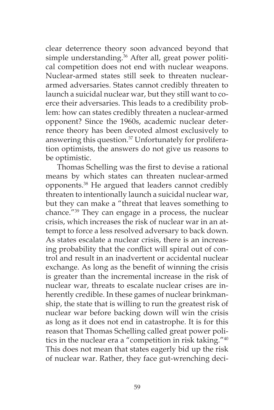clear deterrence theory soon advanced beyond that simple understanding.<sup>36</sup> After all, great power political competition does not end with nuclear weapons. Nuclear-armed states still seek to threaten nucleararmed adversaries. States cannot credibly threaten to launch a suicidal nuclear war, but they still want to coerce their adversaries. This leads to a credibility problem: how can states credibly threaten a nuclear-armed opponent? Since the 1960s, academic nuclear deterrence theory has been devoted almost exclusively to answering this question.<sup>37</sup> Unfortunately for proliferation optimists, the answers do not give us reasons to be optimistic.

Thomas Schelling was the first to devise a rational means by which states can threaten nuclear-armed opponents.38 He argued that leaders cannot credibly threaten to intentionally launch a suicidal nuclear war, but they can make a "threat that leaves something to chance."39 They can engage in a process, the nuclear crisis, which increases the risk of nuclear war in an attempt to force a less resolved adversary to back down. As states escalate a nuclear crisis, there is an increasing probability that the conflict will spiral out of control and result in an inadvertent or accidental nuclear exchange. As long as the benefit of winning the crisis is greater than the incremental increase in the risk of nuclear war, threats to escalate nuclear crises are inherently credible. In these games of nuclear brinkmanship, the state that is willing to run the greatest risk of nuclear war before backing down will win the crisis as long as it does not end in catastrophe. It is for this reason that Thomas Schelling called great power politics in the nuclear era a "competition in risk taking."40 This does not mean that states eagerly bid up the risk of nuclear war. Rather, they face gut-wrenching deci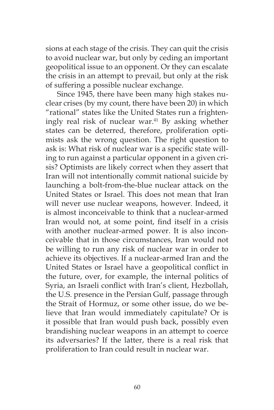sions at each stage of the crisis. They can quit the crisis to avoid nuclear war, but only by ceding an important geopolitical issue to an opponent. Or they can escalate the crisis in an attempt to prevail, but only at the risk of suffering a possible nuclear exchange.

Since 1945, there have been many high stakes nuclear crises (by my count, there have been 20) in which "rational" states like the United States run a frighteningly real risk of nuclear war.41 By asking whether states can be deterred, therefore, proliferation optimists ask the wrong question. The right question to ask is: What risk of nuclear war is a specific state willing to run against a particular opponent in a given crisis? Optimists are likely correct when they assert that Iran will not intentionally commit national suicide by launching a bolt-from-the-blue nuclear attack on the United States or Israel. This does not mean that Iran will never use nuclear weapons, however. Indeed, it is almost inconceivable to think that a nuclear-armed Iran would not, at some point, find itself in a crisis with another nuclear-armed power. It is also inconceivable that in those circumstances, Iran would not be willing to run any risk of nuclear war in order to achieve its objectives. If a nuclear-armed Iran and the United States or Israel have a geopolitical conflict in the future, over, for example, the internal politics of Syria, an Israeli conflict with Iran's client, Hezbollah, the U.S. presence in the Persian Gulf, passage through the Strait of Hormuz, or some other issue, do we believe that Iran would immediately capitulate? Or is it possible that Iran would push back, possibly even brandishing nuclear weapons in an attempt to coerce its adversaries? If the latter, there is a real risk that proliferation to Iran could result in nuclear war.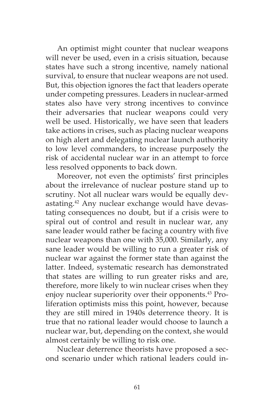An optimist might counter that nuclear weapons will never be used, even in a crisis situation, because states have such a strong incentive, namely national survival, to ensure that nuclear weapons are not used. But, this objection ignores the fact that leaders operate under competing pressures. Leaders in nuclear-armed states also have very strong incentives to convince their adversaries that nuclear weapons could very well be used. Historically, we have seen that leaders take actions in crises, such as placing nuclear weapons on high alert and delegating nuclear launch authority to low level commanders, to increase purposely the risk of accidental nuclear war in an attempt to force less resolved opponents to back down.

Moreover, not even the optimists' first principles about the irrelevance of nuclear posture stand up to scrutiny. Not all nuclear wars would be equally devastating.<sup>42</sup> Any nuclear exchange would have devastating consequences no doubt, but if a crisis were to spiral out of control and result in nuclear war, any sane leader would rather be facing a country with five nuclear weapons than one with 35,000. Similarly, any sane leader would be willing to run a greater risk of nuclear war against the former state than against the latter. Indeed, systematic research has demonstrated that states are willing to run greater risks and are, therefore, more likely to win nuclear crises when they enjoy nuclear superiority over their opponents.<sup>43</sup> Proliferation optimists miss this point, however, because they are still mired in 1940s deterrence theory. It is true that no rational leader would choose to launch a nuclear war, but, depending on the context, she would almost certainly be willing to risk one.

Nuclear deterrence theorists have proposed a second scenario under which rational leaders could in-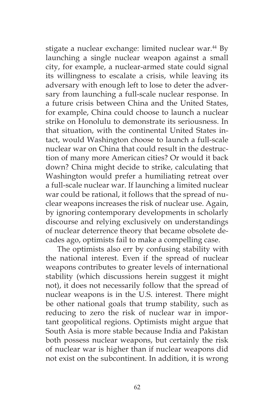stigate a nuclear exchange: limited nuclear war.<sup>44</sup> By launching a single nuclear weapon against a small city, for example, a nuclear-armed state could signal its willingness to escalate a crisis, while leaving its adversary with enough left to lose to deter the adversary from launching a full-scale nuclear response. In a future crisis between China and the United States, for example, China could choose to launch a nuclear strike on Honolulu to demonstrate its seriousness. In that situation, with the continental United States intact, would Washington choose to launch a full-scale nuclear war on China that could result in the destruction of many more American cities? Or would it back down? China might decide to strike, calculating that Washington would prefer a humiliating retreat over a full-scale nuclear war. If launching a limited nuclear war could be rational, it follows that the spread of nuclear weapons increases the risk of nuclear use. Again, by ignoring contemporary developments in scholarly discourse and relying exclusively on understandings of nuclear deterrence theory that became obsolete decades ago, optimists fail to make a compelling case.

The optimists also err by confusing stability with the national interest. Even if the spread of nuclear weapons contributes to greater levels of international stability (which discussions herein suggest it might not), it does not necessarily follow that the spread of nuclear weapons is in the U.S. interest. There might be other national goals that trump stability, such as reducing to zero the risk of nuclear war in important geopolitical regions. Optimists might argue that South Asia is more stable because India and Pakistan both possess nuclear weapons, but certainly the risk of nuclear war is higher than if nuclear weapons did not exist on the subcontinent. In addition, it is wrong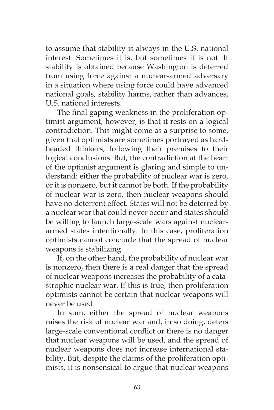to assume that stability is always in the U.S. national interest. Sometimes it is, but sometimes it is not. If stability is obtained because Washington is deterred from using force against a nuclear-armed adversary in a situation where using force could have advanced national goals, stability harms, rather than advances, U.S. national interests.

The final gaping weakness in the proliferation optimist argument, however, is that it rests on a logical contradiction. This might come as a surprise to some, given that optimists are sometimes portrayed as hardheaded thinkers, following their premises to their logical conclusions. But, the contradiction at the heart of the optimist argument is glaring and simple to understand: either the probability of nuclear war is zero, or it is nonzero, but it cannot be both. If the probability of nuclear war is zero, then nuclear weapons should have no deterrent effect. States will not be deterred by a nuclear war that could never occur and states should be willing to launch large-scale wars against nucleararmed states intentionally. In this case, proliferation optimists cannot conclude that the spread of nuclear weapons is stabilizing.

If, on the other hand, the probability of nuclear war is nonzero, then there is a real danger that the spread of nuclear weapons increases the probability of a catastrophic nuclear war. If this is true, then proliferation optimists cannot be certain that nuclear weapons will never be used.

In sum, either the spread of nuclear weapons raises the risk of nuclear war and, in so doing, deters large-scale conventional conflict or there is no danger that nuclear weapons will be used, and the spread of nuclear weapons does not increase international stability. But, despite the claims of the proliferation optimists, it is nonsensical to argue that nuclear weapons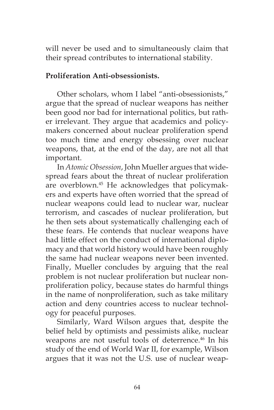will never be used and to simultaneously claim that their spread contributes to international stability.

## **Proliferation Anti-obsessionists.**

Other scholars, whom I label "anti-obsessionists," argue that the spread of nuclear weapons has neither been good nor bad for international politics, but rather irrelevant. They argue that academics and policymakers concerned about nuclear proliferation spend too much time and energy obsessing over nuclear weapons, that, at the end of the day, are not all that important.

In *Atomic Obsession*, John Mueller argues that widespread fears about the threat of nuclear proliferation are overblown.<sup>45</sup> He acknowledges that policymakers and experts have often worried that the spread of nuclear weapons could lead to nuclear war, nuclear terrorism, and cascades of nuclear proliferation, but he then sets about systematically challenging each of these fears. He contends that nuclear weapons have had little effect on the conduct of international diplomacy and that world history would have been roughly the same had nuclear weapons never been invented. Finally, Mueller concludes by arguing that the real problem is not nuclear proliferation but nuclear nonproliferation policy, because states do harmful things in the name of nonproliferation, such as take military action and deny countries access to nuclear technology for peaceful purposes.

Similarly, Ward Wilson argues that, despite the belief held by optimists and pessimists alike, nuclear weapons are not useful tools of deterrence.<sup>46</sup> In his study of the end of World War II, for example, Wilson argues that it was not the U.S. use of nuclear weap-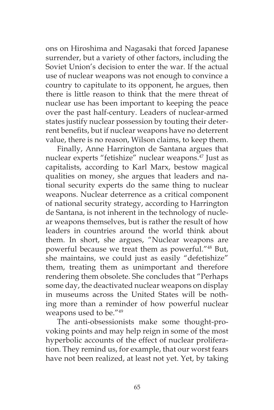ons on Hiroshima and Nagasaki that forced Japanese surrender, but a variety of other factors, including the Soviet Union's decision to enter the war. If the actual use of nuclear weapons was not enough to convince a country to capitulate to its opponent, he argues, then there is little reason to think that the mere threat of nuclear use has been important to keeping the peace over the past half-century. Leaders of nuclear-armed states justify nuclear possession by touting their deterrent benefits, but if nuclear weapons have no deterrent value, there is no reason, Wilson claims, to keep them.

Finally, Anne Harrington de Santana argues that nuclear experts "fetishize" nuclear weapons.<sup>47</sup> Just as capitalists, according to Karl Marx, bestow magical qualities on money, she argues that leaders and national security experts do the same thing to nuclear weapons. Nuclear deterrence as a critical component of national security strategy, according to Harrington de Santana, is not inherent in the technology of nuclear weapons themselves, but is rather the result of how leaders in countries around the world think about them. In short, she argues, "Nuclear weapons are powerful because we treat them as powerful."48 But, she maintains, we could just as easily "defetishize" them, treating them as unimportant and therefore rendering them obsolete. She concludes that "Perhaps some day, the deactivated nuclear weapons on display in museums across the United States will be nothing more than a reminder of how powerful nuclear weapons used to be."49

The anti-obsessionists make some thought-provoking points and may help reign in some of the most hyperbolic accounts of the effect of nuclear proliferation. They remind us, for example, that our worst fears have not been realized, at least not yet. Yet, by taking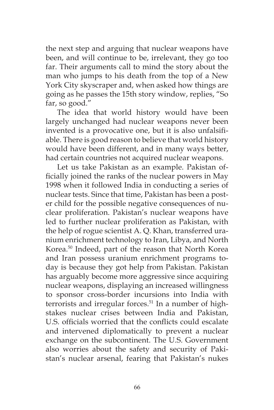the next step and arguing that nuclear weapons have been, and will continue to be, irrelevant, they go too far. Their arguments call to mind the story about the man who jumps to his death from the top of a New York City skyscraper and, when asked how things are going as he passes the 15th story window, replies, "So far, so good."

The idea that world history would have been largely unchanged had nuclear weapons never been invented is a provocative one, but it is also unfalsifiable. There is good reason to believe that world history would have been different, and in many ways better, had certain countries not acquired nuclear weapons.

Let us take Pakistan as an example. Pakistan officially joined the ranks of the nuclear powers in May 1998 when it followed India in conducting a series of nuclear tests. Since that time, Pakistan has been a poster child for the possible negative consequences of nuclear proliferation. Pakistan's nuclear weapons have led to further nuclear proliferation as Pakistan, with the help of rogue scientist A. Q. Khan, transferred uranium enrichment technology to Iran, Libya, and North Korea.50 Indeed, part of the reason that North Korea and Iran possess uranium enrichment programs today is because they got help from Pakistan. Pakistan has arguably become more aggressive since acquiring nuclear weapons, displaying an increased willingness to sponsor cross-border incursions into India with terrorists and irregular forces.<sup>51</sup> In a number of highstakes nuclear crises between India and Pakistan, U.S. officials worried that the conflicts could escalate and intervened diplomatically to prevent a nuclear exchange on the subcontinent. The U.S. Government also worries about the safety and security of Pakistan's nuclear arsenal, fearing that Pakistan's nukes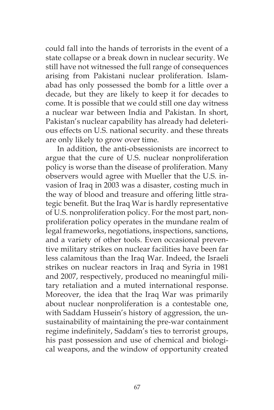could fall into the hands of terrorists in the event of a state collapse or a break down in nuclear security. We still have not witnessed the full range of consequences arising from Pakistani nuclear proliferation. Islamabad has only possessed the bomb for a little over a decade, but they are likely to keep it for decades to come. It is possible that we could still one day witness a nuclear war between India and Pakistan. In short, Pakistan's nuclear capability has already had deleterious effects on U.S. national security. and these threats are only likely to grow over time.

In addition, the anti-obsessionists are incorrect to argue that the cure of U.S. nuclear nonproliferation policy is worse than the disease of proliferation. Many observers would agree with Mueller that the U.S. invasion of Iraq in 2003 was a disaster, costing much in the way of blood and treasure and offering little strategic benefit. But the Iraq War is hardly representative of U.S. nonproliferation policy. For the most part, nonproliferation policy operates in the mundane realm of legal frameworks, negotiations, inspections, sanctions, and a variety of other tools. Even occasional preventive military strikes on nuclear facilities have been far less calamitous than the Iraq War. Indeed, the Israeli strikes on nuclear reactors in Iraq and Syria in 1981 and 2007, respectively, produced no meaningful military retaliation and a muted international response. Moreover, the idea that the Iraq War was primarily about nuclear nonproliferation is a contestable one, with Saddam Hussein's history of aggression, the unsustainability of maintaining the pre-war containment regime indefinitely, Saddam's ties to terrorist groups, his past possession and use of chemical and biological weapons, and the window of opportunity created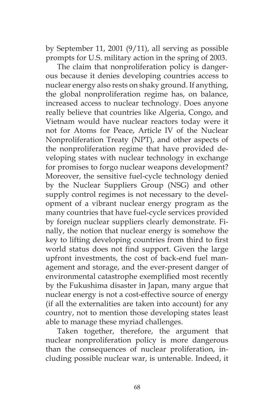by September 11, 2001 (9/11), all serving as possible prompts for U.S. military action in the spring of 2003.

The claim that nonproliferation policy is dangerous because it denies developing countries access to nuclear energy also rests on shaky ground. If anything, the global nonproliferation regime has, on balance, increased access to nuclear technology. Does anyone really believe that countries like Algeria, Congo, and Vietnam would have nuclear reactors today were it not for Atoms for Peace, Article IV of the Nuclear Nonproliferation Treaty (NPT), and other aspects of the nonproliferation regime that have provided developing states with nuclear technology in exchange for promises to forgo nuclear weapons development? Moreover, the sensitive fuel-cycle technology denied by the Nuclear Suppliers Group (NSG) and other supply control regimes is not necessary to the development of a vibrant nuclear energy program as the many countries that have fuel-cycle services provided by foreign nuclear suppliers clearly demonstrate. Finally, the notion that nuclear energy is somehow the key to lifting developing countries from third to first world status does not find support. Given the large upfront investments, the cost of back-end fuel management and storage, and the ever-present danger of environmental catastrophe exemplified most recently by the Fukushima disaster in Japan, many argue that nuclear energy is not a cost-effective source of energy (if all the externalities are taken into account) for any country, not to mention those developing states least able to manage these myriad challenges.

Taken together, therefore, the argument that nuclear nonproliferation policy is more dangerous than the consequences of nuclear proliferation, including possible nuclear war, is untenable. Indeed, it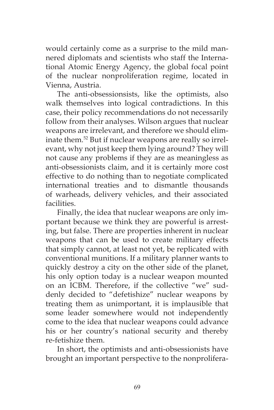would certainly come as a surprise to the mild mannered diplomats and scientists who staff the International Atomic Energy Agency, the global focal point of the nuclear nonproliferation regime, located in Vienna, Austria.

The anti-obsessionsists, like the optimists, also walk themselves into logical contradictions. In this case, their policy recommendations do not necessarily follow from their analyses. Wilson argues that nuclear weapons are irrelevant, and therefore we should eliminate them.52 But if nuclear weapons are really so irrelevant, why not just keep them lying around? They will not cause any problems if they are as meaningless as anti-obsessionists claim, and it is certainly more cost effective to do nothing than to negotiate complicated international treaties and to dismantle thousands of warheads, delivery vehicles, and their associated facilities.

Finally, the idea that nuclear weapons are only important because we think they are powerful is arresting, but false. There are properties inherent in nuclear weapons that can be used to create military effects that simply cannot, at least not yet, be replicated with conventional munitions. If a military planner wants to quickly destroy a city on the other side of the planet, his only option today is a nuclear weapon mounted on an ICBM. Therefore, if the collective "we" suddenly decided to "defetishize" nuclear weapons by treating them as unimportant, it is implausible that some leader somewhere would not independently come to the idea that nuclear weapons could advance his or her country's national security and thereby re-fetishize them.

In short, the optimists and anti-obsessionists have brought an important perspective to the nonprolifera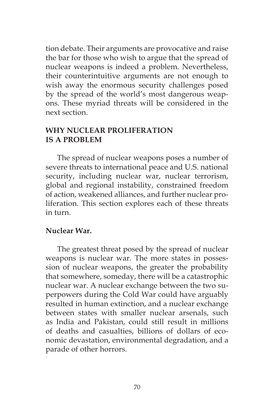tion debate. Their arguments are provocative and raise the bar for those who wish to argue that the spread of nuclear weapons is indeed a problem. Nevertheless, their counterintuitive arguments are not enough to wish away the enormous security challenges posed by the spread of the world's most dangerous weapons. These myriad threats will be considered in the next section.

## **WHY NUCLEAR PROLIFERATION IS A PROBLEM**

The spread of nuclear weapons poses a number of severe threats to international peace and U.S. national security, including nuclear war, nuclear terrorism, global and regional instability, constrained freedom of action, weakened alliances, and further nuclear proliferation. This section explores each of these threats in turn.

## **Nuclear War.**

The greatest threat posed by the spread of nuclear weapons is nuclear war. The more states in possession of nuclear weapons, the greater the probability that somewhere, someday, there will be a catastrophic nuclear war. A nuclear exchange between the two superpowers during the Cold War could have arguably resulted in human extinction, and a nuclear exchange between states with smaller nuclear arsenals, such as India and Pakistan, could still result in millions of deaths and casualties, billions of dollars of economic devastation, environmental degradation, and a parade of other horrors.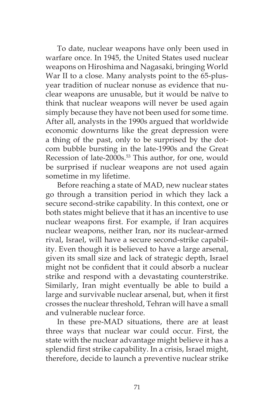To date, nuclear weapons have only been used in warfare once. In 1945, the United States used nuclear weapons on Hiroshima and Nagasaki, bringing World War II to a close. Many analysts point to the 65-plusyear tradition of nuclear nonuse as evidence that nuclear weapons are unusable, but it would be naïve to think that nuclear weapons will never be used again simply because they have not been used for some time. After all, analysts in the 1990s argued that worldwide economic downturns like the great depression were a thing of the past, only to be surprised by the dotcom bubble bursting in the late-1990s and the Great Recession of late-2000s.<sup>53</sup> This author, for one, would be surprised if nuclear weapons are not used again sometime in my lifetime.

Before reaching a state of MAD, new nuclear states go through a transition period in which they lack a secure second-strike capability. In this context, one or both states might believe that it has an incentive to use nuclear weapons first. For example, if Iran acquires nuclear weapons, neither Iran, nor its nuclear-armed rival, Israel, will have a secure second-strike capability. Even though it is believed to have a large arsenal, given its small size and lack of strategic depth, Israel might not be confident that it could absorb a nuclear strike and respond with a devastating counterstrike. Similarly, Iran might eventually be able to build a large and survivable nuclear arsenal, but, when it first crosses the nuclear threshold, Tehran will have a small and vulnerable nuclear force.

In these pre-MAD situations, there are at least three ways that nuclear war could occur. First, the state with the nuclear advantage might believe it has a splendid first strike capability. In a crisis, Israel might, therefore, decide to launch a preventive nuclear strike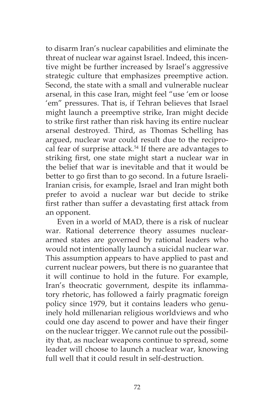to disarm Iran's nuclear capabilities and eliminate the threat of nuclear war against Israel. Indeed, this incentive might be further increased by Israel's aggressive strategic culture that emphasizes preemptive action. Second, the state with a small and vulnerable nuclear arsenal, in this case Iran, might feel "use 'em or loose 'em" pressures. That is, if Tehran believes that Israel might launch a preemptive strike, Iran might decide to strike first rather than risk having its entire nuclear arsenal destroyed. Third, as Thomas Schelling has argued, nuclear war could result due to the reciprocal fear of surprise attack.<sup>54</sup> If there are advantages to striking first, one state might start a nuclear war in the belief that war is inevitable and that it would be better to go first than to go second. In a future Israeli-Iranian crisis, for example, Israel and Iran might both prefer to avoid a nuclear war but decide to strike first rather than suffer a devastating first attack from an opponent.

Even in a world of MAD, there is a risk of nuclear war. Rational deterrence theory assumes nucleararmed states are governed by rational leaders who would not intentionally launch a suicidal nuclear war. This assumption appears to have applied to past and current nuclear powers, but there is no guarantee that it will continue to hold in the future. For example, Iran's theocratic government, despite its inflammatory rhetoric, has followed a fairly pragmatic foreign policy since 1979, but it contains leaders who genuinely hold millenarian religious worldviews and who could one day ascend to power and have their finger on the nuclear trigger. We cannot rule out the possibility that, as nuclear weapons continue to spread, some leader will choose to launch a nuclear war, knowing full well that it could result in self-destruction.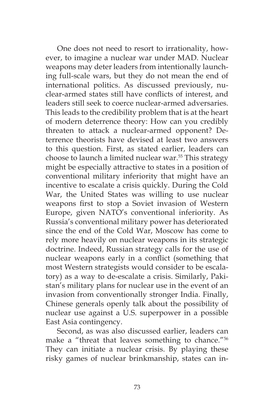One does not need to resort to irrationality, however, to imagine a nuclear war under MAD. Nuclear weapons may deter leaders from intentionally launching full-scale wars, but they do not mean the end of international politics. As discussed previously, nuclear-armed states still have conflicts of interest, and leaders still seek to coerce nuclear-armed adversaries. This leads to the credibility problem that is at the heart of modern deterrence theory: How can you credibly threaten to attack a nuclear-armed opponent? Deterrence theorists have devised at least two answers to this question. First, as stated earlier, leaders can choose to launch a limited nuclear war.<sup>55</sup> This strategy might be especially attractive to states in a position of conventional military inferiority that might have an incentive to escalate a crisis quickly. During the Cold War, the United States was willing to use nuclear weapons first to stop a Soviet invasion of Western Europe, given NATO's conventional inferiority. As Russia's conventional military power has deteriorated since the end of the Cold War, Moscow has come to rely more heavily on nuclear weapons in its strategic doctrine. Indeed, Russian strategy calls for the use of nuclear weapons early in a conflict (something that most Western strategists would consider to be escalatory) as a way to de-escalate a crisis. Similarly, Pakistan's military plans for nuclear use in the event of an invasion from conventionally stronger India. Finally, Chinese generals openly talk about the possibility of nuclear use against a U.S. superpower in a possible East Asia contingency.

Second, as was also discussed earlier, leaders can make a "threat that leaves something to chance."56 They can initiate a nuclear crisis. By playing these risky games of nuclear brinkmanship, states can in-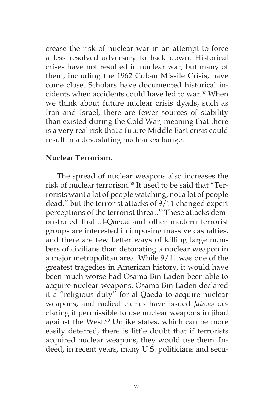crease the risk of nuclear war in an attempt to force a less resolved adversary to back down. Historical crises have not resulted in nuclear war, but many of them, including the 1962 Cuban Missile Crisis, have come close. Scholars have documented historical incidents when accidents could have led to war.57 When we think about future nuclear crisis dyads, such as Iran and Israel, there are fewer sources of stability than existed during the Cold War, meaning that there is a very real risk that a future Middle East crisis could result in a devastating nuclear exchange.

#### **Nuclear Terrorism.**

The spread of nuclear weapons also increases the risk of nuclear terrorism.58 It used to be said that "Terrorists want a lot of people watching, not a lot of people dead," but the terrorist attacks of 9/11 changed expert perceptions of the terrorist threat.<sup>59</sup> These attacks demonstrated that al-Qaeda and other modern terrorist groups are interested in imposing massive casualties, and there are few better ways of killing large numbers of civilians than detonating a nuclear weapon in a major metropolitan area. While 9/11 was one of the greatest tragedies in American history, it would have been much worse had Osama Bin Laden been able to acquire nuclear weapons. Osama Bin Laden declared it a "religious duty" for al-Qaeda to acquire nuclear weapons, and radical clerics have issued *fatwas* declaring it permissible to use nuclear weapons in jihad against the West.<sup>60</sup> Unlike states, which can be more easily deterred, there is little doubt that if terrorists acquired nuclear weapons, they would use them. Indeed, in recent years, many U.S. politicians and secu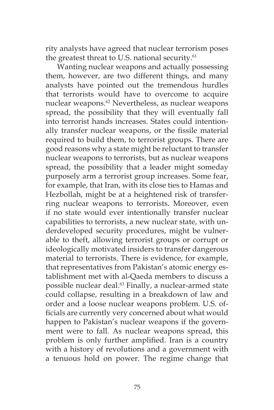rity analysts have agreed that nuclear terrorism poses the greatest threat to U.S. national security.<sup>61</sup>

Wanting nuclear weapons and actually possessing them, however, are two different things, and many analysts have pointed out the tremendous hurdles that terrorists would have to overcome to acquire nuclear weapons.<sup>62</sup> Nevertheless, as nuclear weapons spread, the possibility that they will eventually fall into terrorist hands increases. States could intentionally transfer nuclear weapons, or the fissile material required to build them, to terrorist groups. There are good reasons why a state might be reluctant to transfer nuclear weapons to terrorists, but as nuclear weapons spread, the possibility that a leader might someday purposely arm a terrorist group increases. Some fear, for example, that Iran, with its close ties to Hamas and Hezbollah, might be at a heightened risk of transferring nuclear weapons to terrorists. Moreover, even if no state would ever intentionally transfer nuclear capabilities to terrorists, a new nuclear state, with underdeveloped security procedures, might be vulnerable to theft, allowing terrorist groups or corrupt or ideologically motivated insiders to transfer dangerous material to terrorists. There is evidence, for example, that representatives from Pakistan's atomic energy establishment met with al-Qaeda members to discuss a possible nuclear deal.<sup>63</sup> Finally, a nuclear-armed state could collapse, resulting in a breakdown of law and order and a loose nuclear weapons problem. U.S. officials are currently very concerned about what would happen to Pakistan's nuclear weapons if the government were to fall. As nuclear weapons spread, this problem is only further amplified. Iran is a country with a history of revolutions and a government with a tenuous hold on power. The regime change that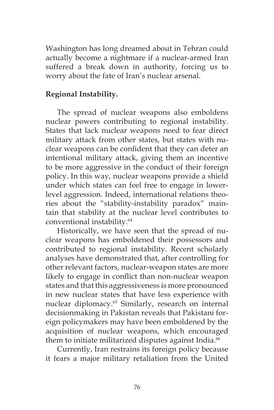Washington has long dreamed about in Tehran could actually become a nightmare if a nuclear-armed Iran suffered a break down in authority, forcing us to worry about the fate of Iran's nuclear arsenal.

## **Regional Instability.**

The spread of nuclear weapons also emboldens nuclear powers contributing to regional instability. States that lack nuclear weapons need to fear direct military attack from other states, but states with nuclear weapons can be confident that they can deter an intentional military attack, giving them an incentive to be more aggressive in the conduct of their foreign policy. In this way, nuclear weapons provide a shield under which states can feel free to engage in lowerlevel aggression. Indeed, international relations theories about the "stability-instability paradox" maintain that stability at the nuclear level contributes to conventional instability.64

Historically, we have seen that the spread of nuclear weapons has emboldened their possessors and contributed to regional instability. Recent scholarly analyses have demonstrated that, after controlling for other relevant factors, nuclear-weapon states are more likely to engage in conflict than non-nuclear weapon states and that this aggressiveness is more pronounced in new nuclear states that have less experience with nuclear diplomacy.<sup>65</sup> Similarly, research on internal decisionmaking in Pakistan reveals that Pakistani foreign policymakers may have been emboldened by the acquisition of nuclear weapons, which encouraged them to initiate militarized disputes against India.<sup>66</sup>

Currently, Iran restrains its foreign policy because it fears a major military retaliation from the United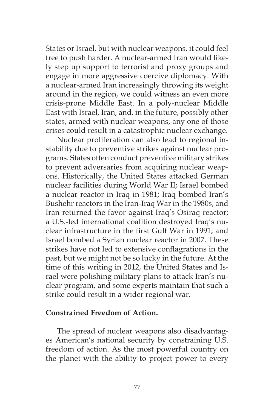States or Israel, but with nuclear weapons, it could feel free to push harder. A nuclear-armed Iran would likely step up support to terrorist and proxy groups and engage in more aggressive coercive diplomacy. With a nuclear-armed Iran increasingly throwing its weight around in the region, we could witness an even more crisis-prone Middle East. In a poly-nuclear Middle East with Israel, Iran, and, in the future, possibly other states, armed with nuclear weapons, any one of those crises could result in a catastrophic nuclear exchange.

Nuclear proliferation can also lead to regional instability due to preventive strikes against nuclear programs. States often conduct preventive military strikes to prevent adversaries from acquiring nuclear weapons. Historically, the United States attacked German nuclear facilities during World War II; Israel bombed a nuclear reactor in Iraq in 1981; Iraq bombed Iran's Bushehr reactors in the Iran-Iraq War in the 1980s, and Iran returned the favor against Iraq's Osiraq reactor; a U.S.-led international coalition destroyed Iraq's nuclear infrastructure in the first Gulf War in 1991; and Israel bombed a Syrian nuclear reactor in 2007. These strikes have not led to extensive conflagrations in the past, but we might not be so lucky in the future. At the time of this writing in 2012, the United States and Israel were polishing military plans to attack Iran's nuclear program, and some experts maintain that such a strike could result in a wider regional war.

#### **Constrained Freedom of Action.**

The spread of nuclear weapons also disadvantages American's national security by constraining U.S. freedom of action. As the most powerful country on the planet with the ability to project power to every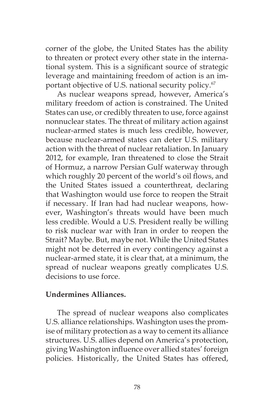corner of the globe, the United States has the ability to threaten or protect every other state in the international system. This is a significant source of strategic leverage and maintaining freedom of action is an important objective of U.S. national security policy.<sup>67</sup>

As nuclear weapons spread, however, America's military freedom of action is constrained. The United States can use, or credibly threaten to use, force against nonnuclear states. The threat of military action against nuclear-armed states is much less credible, however, because nuclear-armed states can deter U.S. military action with the threat of nuclear retaliation. In January 2012, for example, Iran threatened to close the Strait of Hormuz, a narrow Persian Gulf waterway through which roughly 20 percent of the world's oil flows, and the United States issued a counterthreat, declaring that Washington would use force to reopen the Strait if necessary. If Iran had had nuclear weapons, however, Washington's threats would have been much less credible. Would a U.S. President really be willing to risk nuclear war with Iran in order to reopen the Strait? Maybe. But, maybe not. While the United States might not be deterred in every contingency against a nuclear-armed state, it is clear that, at a minimum, the spread of nuclear weapons greatly complicates U.S. decisions to use force.

## **Undermines Alliances.**

The spread of nuclear weapons also complicates U.S. alliance relationships. Washington uses the promise of military protection as a way to cement its alliance structures. U.S. allies depend on America's protection, giving Washington influence over allied states' foreign policies. Historically, the United States has offered,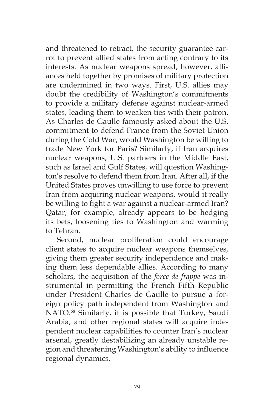and threatened to retract, the security guarantee carrot to prevent allied states from acting contrary to its interests. As nuclear weapons spread, however, alliances held together by promises of military protection are undermined in two ways. First, U.S. allies may doubt the credibility of Washington's commitments to provide a military defense against nuclear-armed states, leading them to weaken ties with their patron. As Charles de Gaulle famously asked about the U.S. commitment to defend France from the Soviet Union during the Cold War, would Washington be willing to trade New York for Paris? Similarly, if Iran acquires nuclear weapons, U.S. partners in the Middle East, such as Israel and Gulf States, will question Washington's resolve to defend them from Iran. After all, if the United States proves unwilling to use force to prevent Iran from acquiring nuclear weapons, would it really be willing to fight a war against a nuclear-armed Iran? Qatar, for example, already appears to be hedging its bets, loosening ties to Washington and warming to Tehran.

Second, nuclear proliferation could encourage client states to acquire nuclear weapons themselves, giving them greater security independence and making them less dependable allies. According to many scholars, the acquisition of the *force de frappe* was instrumental in permitting the French Fifth Republic under President Charles de Gaulle to pursue a foreign policy path independent from Washington and NATO.<sup>68</sup> Similarly, it is possible that Turkey, Saudi Arabia, and other regional states will acquire independent nuclear capabilities to counter Iran's nuclear arsenal, greatly destabilizing an already unstable region and threatening Washington's ability to influence regional dynamics.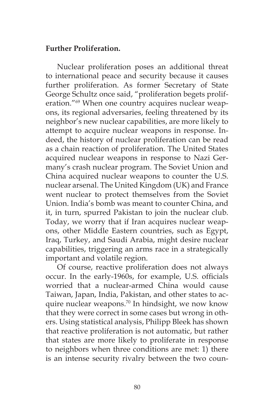## **Further Proliferation.**

Nuclear proliferation poses an additional threat to international peace and security because it causes further proliferation. As former Secretary of State George Schultz once said, "proliferation begets proliferation."69 When one country acquires nuclear weapons, its regional adversaries, feeling threatened by its neighbor's new nuclear capabilities, are more likely to attempt to acquire nuclear weapons in response. Indeed, the history of nuclear proliferation can be read as a chain reaction of proliferation. The United States acquired nuclear weapons in response to Nazi Germany's crash nuclear program. The Soviet Union and China acquired nuclear weapons to counter the U.S. nuclear arsenal. The United Kingdom (UK) and France went nuclear to protect themselves from the Soviet Union. India's bomb was meant to counter China, and it, in turn, spurred Pakistan to join the nuclear club. Today, we worry that if Iran acquires nuclear weapons, other Middle Eastern countries, such as Egypt, Iraq, Turkey, and Saudi Arabia, might desire nuclear capabilities, triggering an arms race in a strategically important and volatile region.

Of course, reactive proliferation does not always occur. In the early-1960s, for example, U.S. officials worried that a nuclear-armed China would cause Taiwan, Japan, India, Pakistan, and other states to acquire nuclear weapons.<sup>70</sup> In hindsight, we now know that they were correct in some cases but wrong in others. Using statistical analysis, Philipp Bleek has shown that reactive proliferation is not automatic, but rather that states are more likely to proliferate in response to neighbors when three conditions are met: 1) there is an intense security rivalry between the two coun-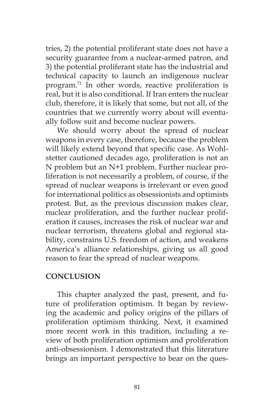tries, 2) the potential proliferant state does not have a security guarantee from a nuclear-armed patron, and 3) the potential proliferant state has the industrial and technical capacity to launch an indigenous nuclear program.71 In other words, reactive proliferation is real, but it is also conditional. If Iran enters the nuclear club, therefore, it is likely that some, but not all, of the countries that we currently worry about will eventually follow suit and become nuclear powers.

We should worry about the spread of nuclear weapons in every case, therefore, because the problem will likely extend beyond that specific case. As Wohlstetter cautioned decades ago, proliferation is not an N problem but an N+1 problem. Further nuclear proliferation is not necessarily a problem, of course, if the spread of nuclear weapons is irrelevant or even good for international politics as obsessionists and optimists protest. But, as the previous discussion makes clear, nuclear proliferation, and the further nuclear proliferation it causes, increases the risk of nuclear war and nuclear terrorism, threatens global and regional stability, constrains U.S. freedom of action, and weakens America's alliance relationships, giving us all good reason to fear the spread of nuclear weapons.

## **CONCLUSION**

This chapter analyzed the past, present, and future of proliferation optimism. It began by reviewing the academic and policy origins of the pillars of proliferation optimism thinking. Next, it examined more recent work in this tradition, including a review of both proliferation optimism and proliferation anti-obsessionism. I demonstrated that this literature brings an important perspective to bear on the ques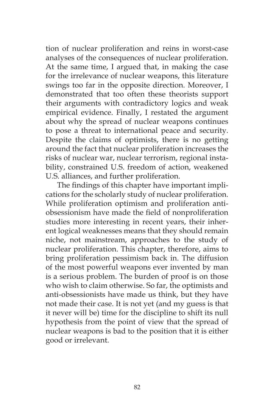tion of nuclear proliferation and reins in worst-case analyses of the consequences of nuclear proliferation. At the same time, I argued that, in making the case for the irrelevance of nuclear weapons, this literature swings too far in the opposite direction. Moreover, I demonstrated that too often these theorists support their arguments with contradictory logics and weak empirical evidence. Finally, I restated the argument about why the spread of nuclear weapons continues to pose a threat to international peace and security. Despite the claims of optimists, there is no getting around the fact that nuclear proliferation increases the risks of nuclear war, nuclear terrorism, regional instability, constrained U.S. freedom of action, weakened U.S. alliances, and further proliferation.

The findings of this chapter have important implications for the scholarly study of nuclear proliferation. While proliferation optimism and proliferation antiobsessionism have made the field of nonproliferation studies more interesting in recent years, their inherent logical weaknesses means that they should remain niche, not mainstream, approaches to the study of nuclear proliferation. This chapter, therefore, aims to bring proliferation pessimism back in. The diffusion of the most powerful weapons ever invented by man is a serious problem. The burden of proof is on those who wish to claim otherwise. So far, the optimists and anti-obsessionists have made us think, but they have not made their case. It is not yet (and my guess is that it never will be) time for the discipline to shift its null hypothesis from the point of view that the spread of nuclear weapons is bad to the position that it is either good or irrelevant.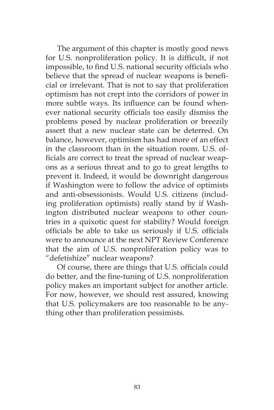The argument of this chapter is mostly good news for U.S. nonproliferation policy. It is difficult, if not impossible, to find U.S. national security officials who believe that the spread of nuclear weapons is beneficial or irrelevant. That is not to say that proliferation optimism has not crept into the corridors of power in more subtle ways. Its influence can be found whenever national security officials too easily dismiss the problems posed by nuclear proliferation or breezily assert that a new nuclear state can be deterred. On balance, however, optimism has had more of an effect in the classroom than in the situation room. U.S. officials are correct to treat the spread of nuclear weapons as a serious threat and to go to great lengths to prevent it. Indeed, it would be downright dangerous if Washington were to follow the advice of optimists and anti-obsessionists. Would U.S. citizens (including proliferation optimists) really stand by if Washington distributed nuclear weapons to other countries in a quixotic quest for stability? Would foreign officials be able to take us seriously if U.S. officials were to announce at the next NPT Review Conference that the aim of U.S. nonproliferation policy was to "defetishize" nuclear weapons?

Of course, there are things that U.S. officials could do better, and the fine-tuning of U.S. nonproliferation policy makes an important subject for another article. For now, however, we should rest assured, knowing that U.S. policymakers are too reasonable to be anything other than proliferation pessimists.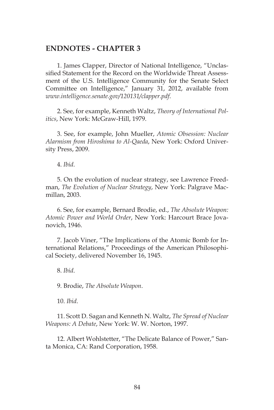#### **ENDNOTES - CHAPTER 3**

1. James Clapper, Director of National Intelligence, "Unclassified Statement for the Record on the Worldwide Threat Assessment of the U.S. Intelligence Community for the Senate Select Committee on Intelligence," January 31, 2012, available from *www.intelligence.senate.gov/120131/clapper.pdf*.

2. See, for example, Kenneth Waltz, *Theory of International Politics*, New York: McGraw-Hill, 1979.

3. See, for example, John Mueller, *Atomic Obsession: Nuclear Alarmism from Hiroshima to Al-Qaeda*, New York: Oxford University Press, 2009.

4. *Ibid*.

5. On the evolution of nuclear strategy, see Lawrence Freedman, *The Evolution of Nuclear Strategy*, New York: Palgrave Macmillan, 2003.

6. See, for example, Bernard Brodie, ed., *The Absolute Weapon: Atomic Power and World Order*, New York: Harcourt Brace Jovanovich, 1946.

7. Jacob Viner, "The Implications of the Atomic Bomb for International Relations," Proceedings of the American Philosophical Society, delivered November 16, 1945.

8. *Ibid*.

9. Brodie, *The Absolute Weapon*.

10. *Ibid*.

11. Scott D. Sagan and Kenneth N. Waltz, *The Spread of Nuclear Weapons: A Debate*, New York: W. W. Norton, 1997.

12. Albert Wohlstetter, "The Delicate Balance of Power," Santa Monica, CA: Rand Corporation, 1958.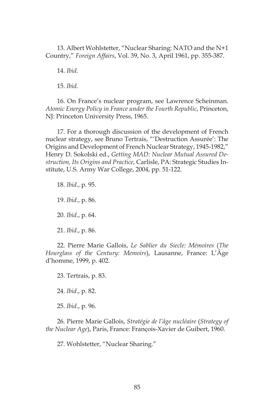13. Albert Wohlstetter, "Nuclear Sharing: NATO and the N+1 Country," *Foreign Affairs*, Vol. 39, No. 3, April 1961, pp. 355-387.

14. *Ibid*.

15. *Ibid*.

16. On France's nuclear program, see Lawrence Scheinman. *Atomic Energy Policy in France under the Fourth Republic*, Princeton, NJ: Princeton University Press, 1965.

17. For a thorough discussion of the development of French nuclear strategy, see Bruno Tertrais, "'Destruction Assurée': The Origins and Development of French Nuclear Strategy, 1945-1982," Henry D. Sokolski ed., *Getting MAD: Nuclear Mutual Assured Destruction, Its Origins and Practice*, Carlisle, PA: Strategic Studies Institute, U.S. Army War College, 2004, pp. 51-122.

18. *Ibid*., p. 95. 19. *Ibid*., p. 86. 20. *Ibid*., p. 64. 21. *Ibid*., p. 86.

22. Pierre Marie Gallois, *Le Sablier du Siecle: Mémoires* (*The Hourglass of the Century: Memoirs*), Lausanne, France: L'Âge d'homme, 1999, p. 402.

23. Tertrais, p. 83.

24. *Ibid*., p. 82.

25. *Ibid*., p. 96.

26. Pierre Marie Gallois, *Stratégie de l'âge nucléaire* (*Strategy of the Nuclear Age*), Paris, France: François-Xavier de Guibert, 1960.

27. Wohlstetter, "Nuclear Sharing."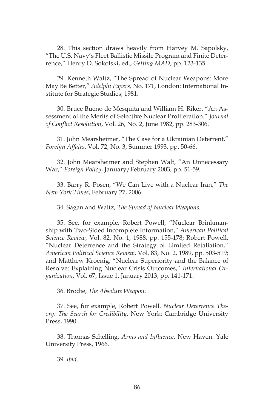28. This section draws heavily from Harvey M. Sapolsky, "The U.S. Navy's Fleet Ballistic Missile Program and Finite Deterrence," Henry D. Sokolski, ed., *Getting MAD*, pp. 123-135.

29. Kenneth Waltz, "The Spread of Nuclear Weapons: More May Be Better," *Adelphi Papers,* No. 171, London: International Institute for Strategic Studies, 1981.

30. Bruce Bueno de Mesquita and William H. Riker, "An Assessment of the Merits of Selective Nuclear Proliferation." *Journal of Conflict Resolution*, Vol. 26, No. 2, June 1982, pp. 283-306.

31. John Mearsheimer, "The Case for a Ukrainian Deterrent," *Foreign Affairs*, Vol. 72, No. 3, Summer 1993, pp. 50-66.

32. John Mearsheimer and Stephen Walt, "An Unnecessary War," *Foreign Policy*, January/February 2003, pp. 51-59.

33. Barry R. Posen, "We Can Live with a Nuclear Iran," *The New York Times*, February 27, 2006.

34. Sagan and Waltz, *The Spread of Nuclear Weapons*.

35. See, for example, Robert Powell, "Nuclear Brinkmanship with Two-Sided Incomplete Information," *American Political Science Review,* Vol. 82, No. 1, 1988, pp. 155-178; Robert Powell, "Nuclear Deterrence and the Strategy of Limited Retaliation," *American Political Science Review*, Vol. 83, No. 2, 1989, pp. 503-519; and Matthew Kroenig, "Nuclear Superiority and the Balance of Resolve: Explaining Nuclear Crisis Outcomes," *International Organization*, Vol. 67, Issue 1, January 2013, pp. 141-171.

36. Brodie, *The Absolute Weapon*.

37. See, for example, Robert Powell. *Nuclear Deterrence Theory: The Search for Credibility*, New York: Cambridge University Press, 1990.

38. Thomas Schelling, *Arms and Influence*, New Haven: Yale University Press, 1966.

39. *Ibid*.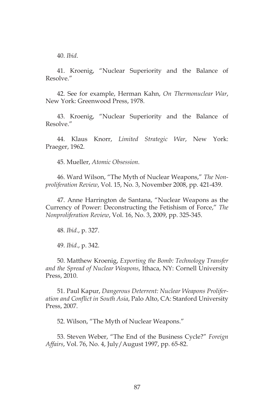40. *Ibid*.

41. Kroenig, "Nuclear Superiority and the Balance of Resolve."

42. See for example, Herman Kahn, *On Thermonuclear War*, New York: Greenwood Press, 1978.

43. Kroenig, "Nuclear Superiority and the Balance of Resolve."

44. Klaus Knorr, *Limited Strategic War*, New York: Praeger, 1962.

45. Mueller, *Atomic Obsession*.

46. Ward Wilson, "The Myth of Nuclear Weapons," *The Nonproliferation Review*, Vol. 15, No. 3, November 2008, pp. 421-439.

47. Anne Harrington de Santana, "Nuclear Weapons as the Currency of Power: Deconstructing the Fetishism of Force," *The Nonproliferation Review*, Vol. 16, No. 3, 2009, pp. 325-345.

48. *Ibid*., p. 327.

49. *Ibid*., p. 342.

50. Matthew Kroenig, *Exporting the Bomb: Technology Transfer and the Spread of Nuclear Weapons*, Ithaca, NY: Cornell University Press, 2010.

51. Paul Kapur, *Dangerous Deterrent: Nuclear Weapons Proliferation and Conflict in South Asia*, Palo Alto, CA: Stanford University Press, 2007.

52. Wilson, "The Myth of Nuclear Weapons."

53. Steven Weber, "The End of the Business Cycle?" *Foreign Affairs*, Vol. 76, No. 4, July/August 1997, pp. 65-82.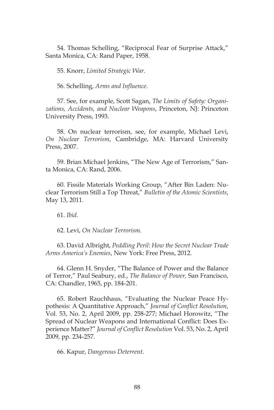54. Thomas Schelling, "Reciprocal Fear of Surprise Attack," Santa Monica, CA: Rand Paper, 1958.

55. Knorr, *Limited Strategic War*.

56. Schelling, *Arms and Influence*.

57. See, for example, Scott Sagan, *The Limits of Safety: Organizations, Accidents, and Nuclear Weapons*, Princeton, NJ: Princeton University Press, 1993.

58. On nuclear terrorism, see, for example, Michael Levi, *On Nuclear Terrorism*, Cambridge, MA: Harvard University Press, 2007.

59. Brian Michael Jenkins, "The New Age of Terrorism," Santa Monica, CA: Rand, 2006.

60. Fissile Materials Working Group, "After Bin Laden: Nuclear Terrorism Still a Top Threat," *Bulletin of the Atomic Scientists*, May 13, 2011.

61. *Ibid*.

62. Levi, *On Nuclear Terrorism*.

63. David Albright, *Peddling Peril: How the Secret Nuclear Trade Arms America's Enemies*, New York: Free Press, 2012.

64. Glenn H. Snyder, "The Balance of Power and the Balance of Terror," Paul Seabury, ed., *The Balance of Power,* San Francisco, CA: Chandler, 1965, pp. 184-201.

65. Robert Rauchhaus, "Evaluating the Nuclear Peace Hypothesis: A Quantitative Approach," *Journal of Conflict Resolution*, Vol. 53, No. 2, April 2009, pp. 258-277; Michael Horowitz, "The Spread of Nuclear Weapons and International Conflict: Does Experience Matter?" *Journal of Conflict Resolution* Vol. 53, No. 2, April 2009, pp. 234-257.

66. Kapur, *Dangerous Deterrent*.